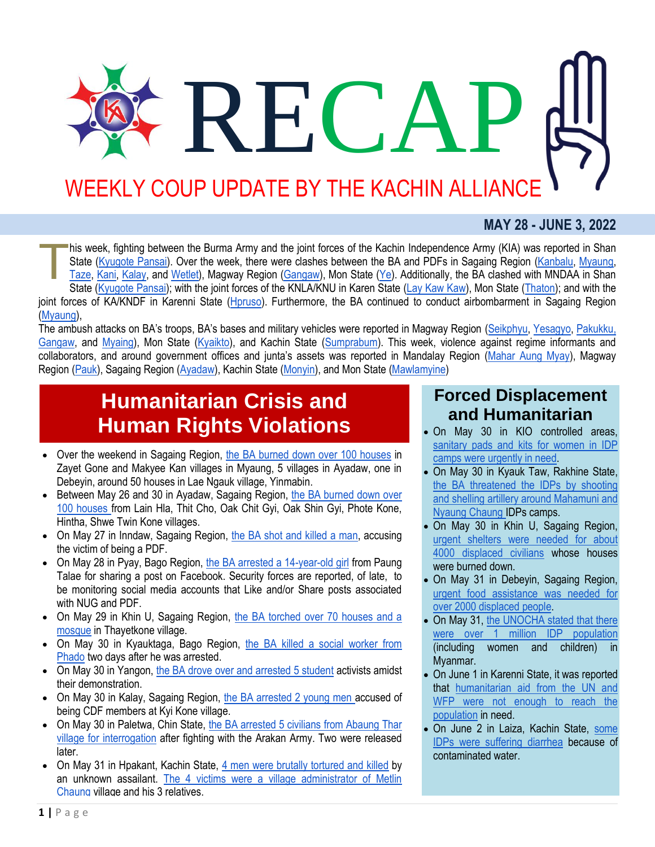# RECA WEEKLY COUP UPDATE BY THE KACHIN ALLIANCE

#### **MAY 28 - JUNE 3, 2022**

his week, fighting between the Burma Army and the joint forces of the Kachin Independence Army (KIA) was reported in Shan State [\(Kyugote Pansai\)](http://burmese.dvb.no/archives/536368). Over the week, there were clashes between the BA and PDFs in Sagaing Region [\(Kanbalu,](https://www.facebook.com/The74Media/posts/568720561314136?__cft__%5b0%5d=AZXIRAvyrELXzpgVkpnf54TfIuMtDAZj89bG2xpPdW_CgtM22vi7Pw_Ie1tlU-_5vPet8sP_4ATvqk7i79yXRg1x9uTgVgVAlh9OVu2_MzIOej8bGLDAio404gQvPTIP3eoCmSEo_d4cLFfK_fLuqLHzQGcFgHgg3kcOWm0HdKg7WA&__tn__=%2CO%2CP-R) [Myaung,](https://www.facebook.com/The74Media/posts/568492078003651?__cft__%5b0%5d=AZX8lYAiH1v-o4Sn9EzPU6uerwB7i3Yl8ZKmfID1Fd9LGzk6W9_wfREAFNyeuNBwDXmv5gDQbj3JtF1xQ1NDfgAHBApXYcDu6jWFYW-nwB7Zt0-Di7J3T_QliI5VDjIyEhlbl9t4Y0qYpWHXPxCCKqrs1xl2gC4NNgi_tQvUbmNHEw&__tn__=%2CO%2CP-R) [Taze,](http://burmese.dvb.no/archives/535877) [Kani,](http://burmese.dvb.no/archives/536329) [Kalay,](http://burmese.dvb.no/archives/536432) and [Wetlet\)](https://www.myanmar-now.org/mm/news/11525), Magway Region [\(Gangaw\)](http://burmese.dvb.no/archives/536583), Mon State [\(Ye\)](http://burmese.dvb.no/archives/536044). Additionally, the BA clashed with MNDAA in Shan State [\(Kyugote Pansai\)](http://burmese.dvb.no/archives/536368); with the joint forces of the KNLA/KNU in Karen State [\(Lay Kaw Kaw\)](http://burmese.dvb.no/archives/536332), Mon State [\(Thaton\)](http://burmese.dvb.no/archives/536673); and with the joint forces of KA/KNDF in Karenni State [\(Hpruso\)](http://burmese.dvb.no/archives/536627). Furthermore, the BA continued to conduct airbombarment in Sagaing Region [\(Myaung\)](http://burmese.dvb.no/archives/535902), T

The ambush attacks on BA's troops, BA's bases and military vehicles were reported in Magway Region [\(Seikphyu,](http://burmese.dvb.no/archives/535814) [Yesagyo,](http://burmese.dvb.no/archives/535782) Pakukku, [Gangaw,](http://burmese.dvb.no/archives/535861) and [Myaing\)](http://burmese.dvb.no/archives/536314), Mon State [\(Kyaikto\)](http://burmese.dvb.no/archives/536714), and Kachin State [\(Sumprabum\)](https://burmese.kachinnews.com/2022/06/01/jun-y2/). This week, violence against regime informants and collaborators, and around government offices and junta's assets was reported in Mandalay Region [\(Mahar Aung Myay\)](https://www.myanmar-now.org/mm/news/11483), Magway Region [\(Pauk\)](https://www.myanmar-now.org/mm/news/11502), Sagaing Region [\(Ayadaw\)](https://burmese.kachinnews.com/2022/05/30/may30-zm1/), Kachin State [\(Monyin\)](https://www.facebook.com/The74Media/posts/569476477905211?__cft__%5b0%5d=AZVkOzLJwXt6BZ6GbsB0dAOeewC2vzEQAaaJqVc7wtmahrXvUqpP1eJK2pMJyS33-wQbZUtRT4a1i3qq_gk3qPFwUNqgKLlJlYt3XT6rZATSZ49op2BgQshKBtRR-z5xErAoaezLSyQmVbuV9vPO96phZjgna3Pa-1n994HoWCHXWA&__tn__=%2CO%2CP-R), and Mon State [\(Mawlamyine\)](http://burmese.dvb.no/archives/536194)

### **Humanitarian Crisis and Human Rights Violations**

- Over the weekend in Sagaing Region, [the BA burned down over 100 houses](https://www.irrawaddy.com/news/burma/myanmar-junta-torches-10-villages-in-two-days-in-sagaing.html) in Zayet Gone and Makyee Kan villages in Myaung, 5 villages in Ayadaw, one in Debeyin, around 50 houses in Lae Ngauk village, Yinmabin.
- Between May 26 and 30 in Ayadaw, Sagaing Region, the BA burned down over [100 houses](https://burmese.kachinnews.com/2022/05/30/may30-sm1/) from Lain Hla, Thit Cho, Oak Chit Gyi, Oak Shin Gyi, Phote Kone, Hintha, Shwe Twin Kone villages.
- On May 27 in Inndaw, Sagaing Region, [the BA shot and killed a man,](https://burmese.kachinnews.com/2022/05/28/may28-zm1/) accusing the victim of being a PDF.
- On May 28 in Pyay, Bago Region, [the BA arrested a 14-year-old girl](http://burmese.dvb.no/archives/536392) from Paung Talae for sharing a post on Facebook. Security forces are reported, of late, to be monitoring social media accounts that Like and/or Share posts associated with NUG and PDF.
- On May 29 in Khin U, Sagaing Region, the BA torched over 70 houses and a [mosque](https://www.myanmar-now.org/mm/news/11497) in Thayetkone village.
- On May 30 in Kyauktaga, Bago Region, [the BA killed a social worker from](https://www.myanmar-now.org/mm/news/11489)  [Phado](https://www.myanmar-now.org/mm/news/11489) two days after he was arrested.
- On May 30 in Yangon, [the BA drove over and arrested 5 student](https://www.myanmar-now.org/mm/news/11509) activists amidst their demonstration.
- On May 30 in Kalay, Sagaing Region, [the BA arrested 2 young men](http://burmese.dvb.no/archives/536696) accused of being CDF members at Kyi Kone village.
- On May 30 in Paletwa, Chin State, the BA arrested 5 civilians from Abaung Thar [village for interrogation](https://www.irrawaddy.com/news/burma/myanmar-junta-detains-villagers-following-clash-with-arakan-army-in-chin-state.html) after fighting with the Arakan Army. Two were released later.
- On May 31 in Hpakant, Kachin State, [4 men were brutally tortured and killed](https://burmese.kachinnews.com/2022/06/01/jun1-az1/) by an unknown assailant. [The 4 victims were a village administrator of Metlin](https://burmese.kachinnews.com/2022/06/02/jun2-az1/)  [Chaung](https://burmese.kachinnews.com/2022/06/02/jun2-az1/) village and his 3 relatives.

#### **Forced Displacement and Humanitarian**

- On May 30 in KIO controlled areas, [sanitary pads and kits for women in IDP](https://burmese.kachinnews.com/2022/05/30/may30-lp1/)  [camps were urgently in need.](https://burmese.kachinnews.com/2022/05/30/may30-lp1/)
- On May 30 in Kyauk Taw, Rakhine State, [the BA threatened the IDPs by shooting](https://burma.irrawaddy.com/news/2022/05/31/252238.html)  [and shelling artillery around Mahamuni and](https://burma.irrawaddy.com/news/2022/05/31/252238.html)  [Nyaung Chaung](https://burma.irrawaddy.com/news/2022/05/31/252238.html) IDPs camps.
- On May 30 in Khin U, Sagaing Region, [urgent shelters were needed for about](https://burmese.kachinnews.com/2022/05/30/may30-az2/)  [4000 displaced civilians](https://burmese.kachinnews.com/2022/05/30/may30-az2/) whose houses were burned down.
- On May 31 in Debeyin, Sagaing Region, [urgent food assistance was needed for](https://burmese.kachinnews.com/2022/05/31/may31-sm1/)  [over 2000 displaced people.](https://burmese.kachinnews.com/2022/05/31/may31-sm1/)
- On May 31, the UNOCHA stated that there [were over 1 million IDP population](http://burmese.dvb.no/archives/536533) (including women and children) in Myanmar.
- On June 1 in Karenni State, it was reported that [humanitarian aid from the UN and](https://www.myanmar-now.org/mm/news/11518)  [WFP were not enough to reach the](https://www.myanmar-now.org/mm/news/11518)  [population](https://www.myanmar-now.org/mm/news/11518) in need.
- On June 2 in Laiza, Kachin State, some [IDPs were suffering diarrhea](https://burmese.kachinnews.com/2022/06/02/jun2-lp1/) because of contaminated water.